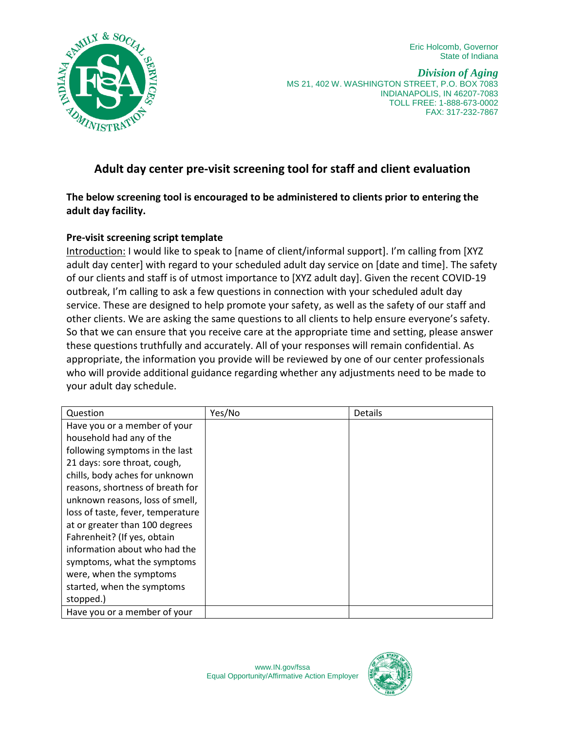Eric Holcomb, Governor State of Indiana



*Division of Aging* MS 21, 402 W. WASHINGTON STREET, P.O. BOX 7083 INDIANAPOLIS, IN 46207-7083 TOLL FREE: 1-888-673-0002 FAX: 317-232-7867

## **Adult day center pre-visit screening tool for staff and client evaluation**

## **The below screening tool is encouraged to be administered to clients prior to entering the adult day facility.**

## **Pre-visit screening script template**

Introduction: I would like to speak to [name of client/informal support]. I'm calling from [XYZ adult day center] with regard to your scheduled adult day service on [date and time]. The safety of our clients and staff is of utmost importance to [XYZ adult day]. Given the recent COVID-19 outbreak, I'm calling to ask a few questions in connection with your scheduled adult day service. These are designed to help promote your safety, as well as the safety of our staff and other clients. We are asking the same questions to all clients to help ensure everyone's safety. So that we can ensure that you receive care at the appropriate time and setting, please answer these questions truthfully and accurately. All of your responses will remain confidential. As appropriate, the information you provide will be reviewed by one of our center professionals who will provide additional guidance regarding whether any adjustments need to be made to your adult day schedule.

| Question                          | Yes/No | <b>Details</b> |
|-----------------------------------|--------|----------------|
| Have you or a member of your      |        |                |
| household had any of the          |        |                |
| following symptoms in the last    |        |                |
| 21 days: sore throat, cough,      |        |                |
| chills, body aches for unknown    |        |                |
| reasons, shortness of breath for  |        |                |
| unknown reasons, loss of smell,   |        |                |
| loss of taste, fever, temperature |        |                |
| at or greater than 100 degrees    |        |                |
| Fahrenheit? (If yes, obtain       |        |                |
| information about who had the     |        |                |
| symptoms, what the symptoms       |        |                |
| were, when the symptoms           |        |                |
| started, when the symptoms        |        |                |
| stopped.)                         |        |                |
| Have you or a member of your      |        |                |

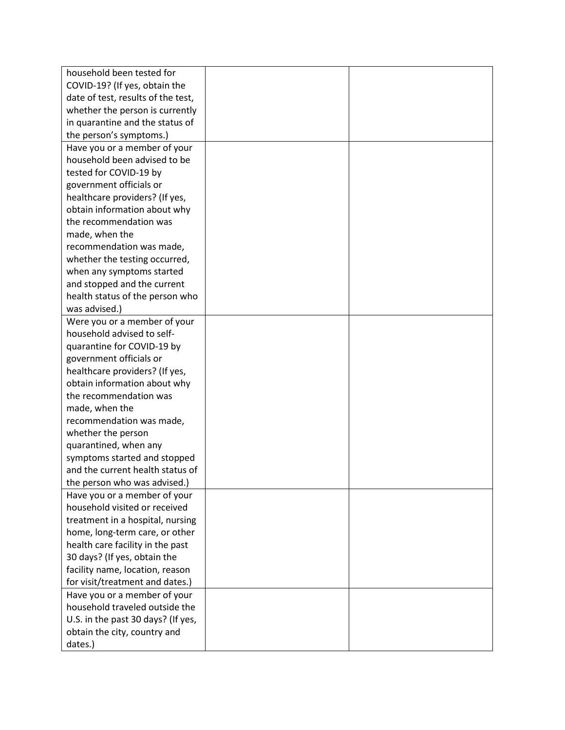| household been tested for          |  |
|------------------------------------|--|
| COVID-19? (If yes, obtain the      |  |
| date of test, results of the test, |  |
| whether the person is currently    |  |
| in quarantine and the status of    |  |
| the person's symptoms.)            |  |
| Have you or a member of your       |  |
| household been advised to be       |  |
| tested for COVID-19 by             |  |
| government officials or            |  |
| healthcare providers? (If yes,     |  |
| obtain information about why       |  |
| the recommendation was             |  |
| made, when the                     |  |
| recommendation was made,           |  |
| whether the testing occurred,      |  |
| when any symptoms started          |  |
| and stopped and the current        |  |
| health status of the person who    |  |
| was advised.)                      |  |
| Were you or a member of your       |  |
| household advised to self-         |  |
| quarantine for COVID-19 by         |  |
| government officials or            |  |
| healthcare providers? (If yes,     |  |
| obtain information about why       |  |
| the recommendation was             |  |
| made, when the                     |  |
| recommendation was made,           |  |
| whether the person                 |  |
| quarantined, when any              |  |
| symptoms started and stopped       |  |
| and the current health status of   |  |
| the person who was advised.)       |  |
| Have you or a member of your       |  |
| household visited or received      |  |
| treatment in a hospital, nursing   |  |
| home, long-term care, or other     |  |
| health care facility in the past   |  |
| 30 days? (If yes, obtain the       |  |
| facility name, location, reason    |  |
| for visit/treatment and dates.)    |  |
| Have you or a member of your       |  |
| household traveled outside the     |  |
| U.S. in the past 30 days? (If yes, |  |
| obtain the city, country and       |  |
| dates.)                            |  |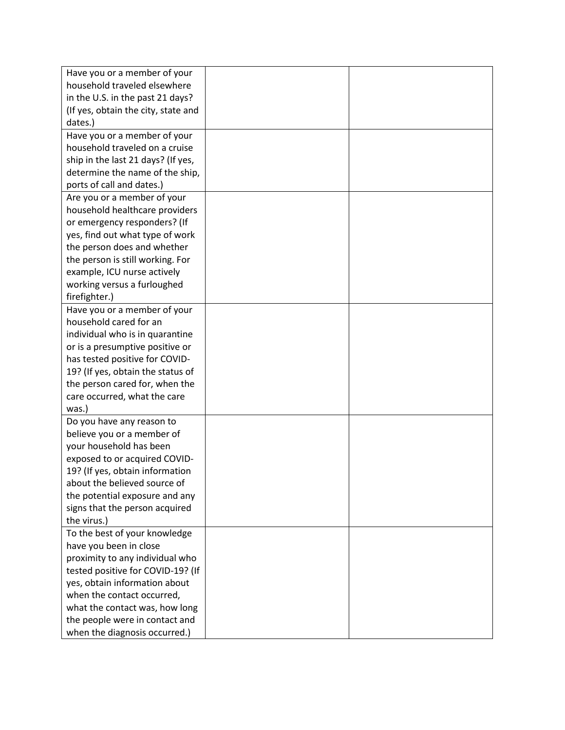| Have you or a member of your        |  |
|-------------------------------------|--|
| household traveled elsewhere        |  |
| in the U.S. in the past 21 days?    |  |
| (If yes, obtain the city, state and |  |
| dates.)                             |  |
| Have you or a member of your        |  |
| household traveled on a cruise      |  |
| ship in the last 21 days? (If yes,  |  |
| determine the name of the ship,     |  |
| ports of call and dates.)           |  |
| Are you or a member of your         |  |
| household healthcare providers      |  |
| or emergency responders? (If        |  |
| yes, find out what type of work     |  |
| the person does and whether         |  |
| the person is still working. For    |  |
| example, ICU nurse actively         |  |
| working versus a furloughed         |  |
| firefighter.)                       |  |
| Have you or a member of your        |  |
| household cared for an              |  |
| individual who is in quarantine     |  |
| or is a presumptive positive or     |  |
| has tested positive for COVID-      |  |
| 19? (If yes, obtain the status of   |  |
| the person cared for, when the      |  |
| care occurred, what the care        |  |
| was.)                               |  |
| Do you have any reason to           |  |
| believe you or a member of          |  |
| your household has been             |  |
| exposed to or acquired COVID-       |  |
| 19? (If yes, obtain information     |  |
| about the believed source of        |  |
| the potential exposure and any      |  |
| signs that the person acquired      |  |
| the virus.)                         |  |
| To the best of your knowledge       |  |
| have you been in close              |  |
| proximity to any individual who     |  |
| tested positive for COVID-19? (If   |  |
| yes, obtain information about       |  |
| when the contact occurred,          |  |
| what the contact was, how long      |  |
| the people were in contact and      |  |
| when the diagnosis occurred.)       |  |